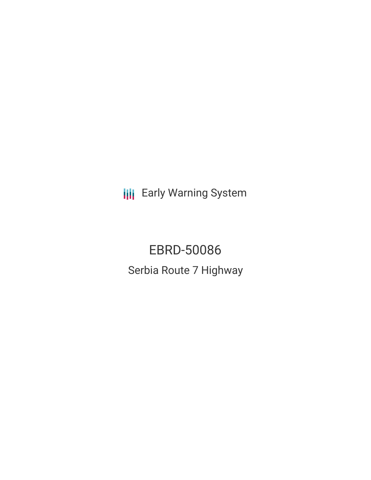**III** Early Warning System

EBRD-50086 Serbia Route 7 Highway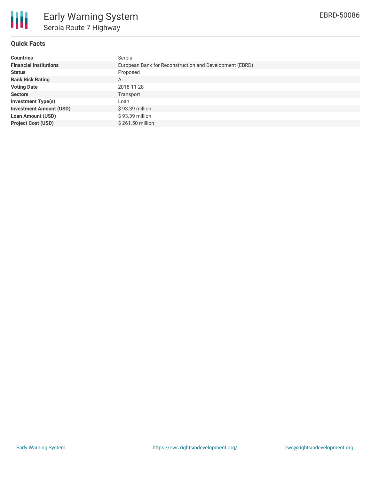

## **Quick Facts**

| <b>Countries</b>               | Serbia                                                  |
|--------------------------------|---------------------------------------------------------|
| <b>Financial Institutions</b>  | European Bank for Reconstruction and Development (EBRD) |
| <b>Status</b>                  | Proposed                                                |
| <b>Bank Risk Rating</b>        | A                                                       |
| <b>Voting Date</b>             | 2018-11-28                                              |
| <b>Sectors</b>                 | Transport                                               |
| <b>Investment Type(s)</b>      | Loan                                                    |
| <b>Investment Amount (USD)</b> | $$93.39$ million                                        |
| <b>Loan Amount (USD)</b>       | $$93.39$ million                                        |
| <b>Project Cost (USD)</b>      | \$261.50 million                                        |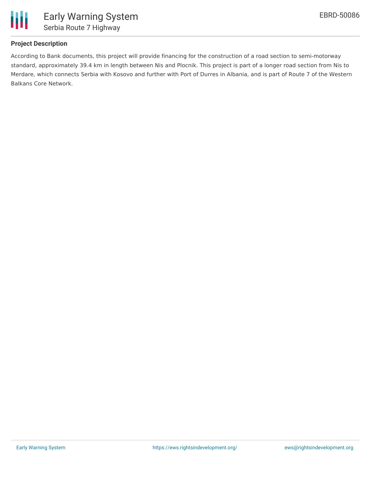

# **Project Description**

According to Bank documents, this project will provide financing for the construction of a road section to semi-motorway standard, approximately 39.4 km in length between Nis and Plocnik. This project is part of a longer road section from Nis to Merdare, which connects Serbia with Kosovo and further with Port of Durres in Albania, and is part of Route 7 of the Western Balkans Core Network.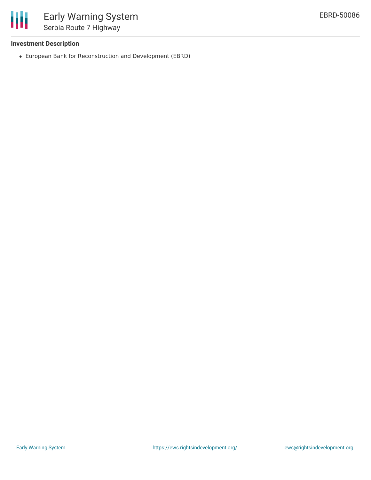

## **Investment Description**

European Bank for Reconstruction and Development (EBRD)